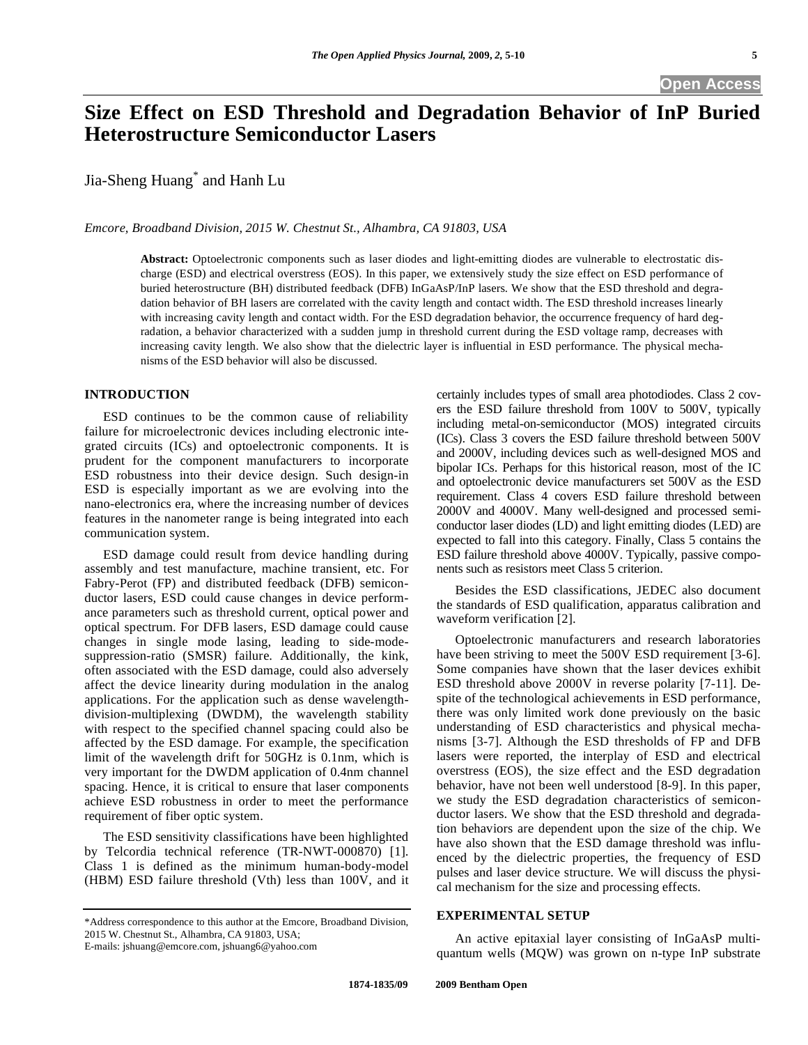# **Size Effect on ESD Threshold and Degradation Behavior of InP Buried Heterostructure Semiconductor Lasers**

Jia-Sheng Huang\* and Hanh Lu

*Emcore, Broadband Division, 2015 W. Chestnut St., Alhambra, CA 91803, USA* 

**Abstract:** Optoelectronic components such as laser diodes and light-emitting diodes are vulnerable to electrostatic discharge (ESD) and electrical overstress (EOS). In this paper, we extensively study the size effect on ESD performance of buried heterostructure (BH) distributed feedback (DFB) InGaAsP/InP lasers. We show that the ESD threshold and degradation behavior of BH lasers are correlated with the cavity length and contact width. The ESD threshold increases linearly with increasing cavity length and contact width. For the ESD degradation behavior, the occurrence frequency of hard degradation, a behavior characterized with a sudden jump in threshold current during the ESD voltage ramp, decreases with increasing cavity length. We also show that the dielectric layer is influential in ESD performance. The physical mechanisms of the ESD behavior will also be discussed.

# **INTRODUCTION**

 ESD continues to be the common cause of reliability failure for microelectronic devices including electronic integrated circuits (ICs) and optoelectronic components. It is prudent for the component manufacturers to incorporate ESD robustness into their device design. Such design-in ESD is especially important as we are evolving into the nano-electronics era, where the increasing number of devices features in the nanometer range is being integrated into each communication system.

 ESD damage could result from device handling during assembly and test manufacture, machine transient, etc. For Fabry-Perot (FP) and distributed feedback (DFB) semiconductor lasers, ESD could cause changes in device performance parameters such as threshold current, optical power and optical spectrum. For DFB lasers, ESD damage could cause changes in single mode lasing, leading to side-modesuppression-ratio (SMSR) failure. Additionally, the kink, often associated with the ESD damage, could also adversely affect the device linearity during modulation in the analog applications. For the application such as dense wavelengthdivision-multiplexing (DWDM), the wavelength stability with respect to the specified channel spacing could also be affected by the ESD damage. For example, the specification limit of the wavelength drift for 50GHz is 0.1nm, which is very important for the DWDM application of 0.4nm channel spacing. Hence, it is critical to ensure that laser components achieve ESD robustness in order to meet the performance requirement of fiber optic system.

 The ESD sensitivity classifications have been highlighted by Telcordia technical reference (TR-NWT-000870) [1]. Class 1 is defined as the minimum human-body-model (HBM) ESD failure threshold (Vth) less than 100V, and it certainly includes types of small area photodiodes. Class 2 covers the ESD failure threshold from 100V to 500V, typically including metal-on-semiconductor (MOS) integrated circuits (ICs). Class 3 covers the ESD failure threshold between 500V and 2000V, including devices such as well-designed MOS and bipolar ICs. Perhaps for this historical reason, most of the IC and optoelectronic device manufacturers set 500V as the ESD requirement. Class 4 covers ESD failure threshold between 2000V and 4000V. Many well-designed and processed semiconductor laser diodes (LD) and light emitting diodes (LED) are expected to fall into this category. Finally, Class 5 contains the ESD failure threshold above 4000V. Typically, passive components such as resistors meet Class 5 criterion.

 Besides the ESD classifications, JEDEC also document the standards of ESD qualification, apparatus calibration and waveform verification [2].

 Optoelectronic manufacturers and research laboratories have been striving to meet the 500V ESD requirement [3-6]. Some companies have shown that the laser devices exhibit ESD threshold above 2000V in reverse polarity [7-11]. Despite of the technological achievements in ESD performance, there was only limited work done previously on the basic understanding of ESD characteristics and physical mechanisms [3-7]. Although the ESD thresholds of FP and DFB lasers were reported, the interplay of ESD and electrical overstress (EOS), the size effect and the ESD degradation behavior, have not been well understood [8-9]. In this paper, we study the ESD degradation characteristics of semiconductor lasers. We show that the ESD threshold and degradation behaviors are dependent upon the size of the chip. We have also shown that the ESD damage threshold was influenced by the dielectric properties, the frequency of ESD pulses and laser device structure. We will discuss the physical mechanism for the size and processing effects.

# **EXPERIMENTAL SETUP**

 An active epitaxial layer consisting of InGaAsP multiquantum wells (MQW) was grown on n-type InP substrate

<sup>\*</sup>Address correspondence to this author at the Emcore, Broadband Division, 2015 W. Chestnut St., Alhambra, CA 91803, USA;

E-mails: jshuang@emcore.com, jshuang6@yahoo.com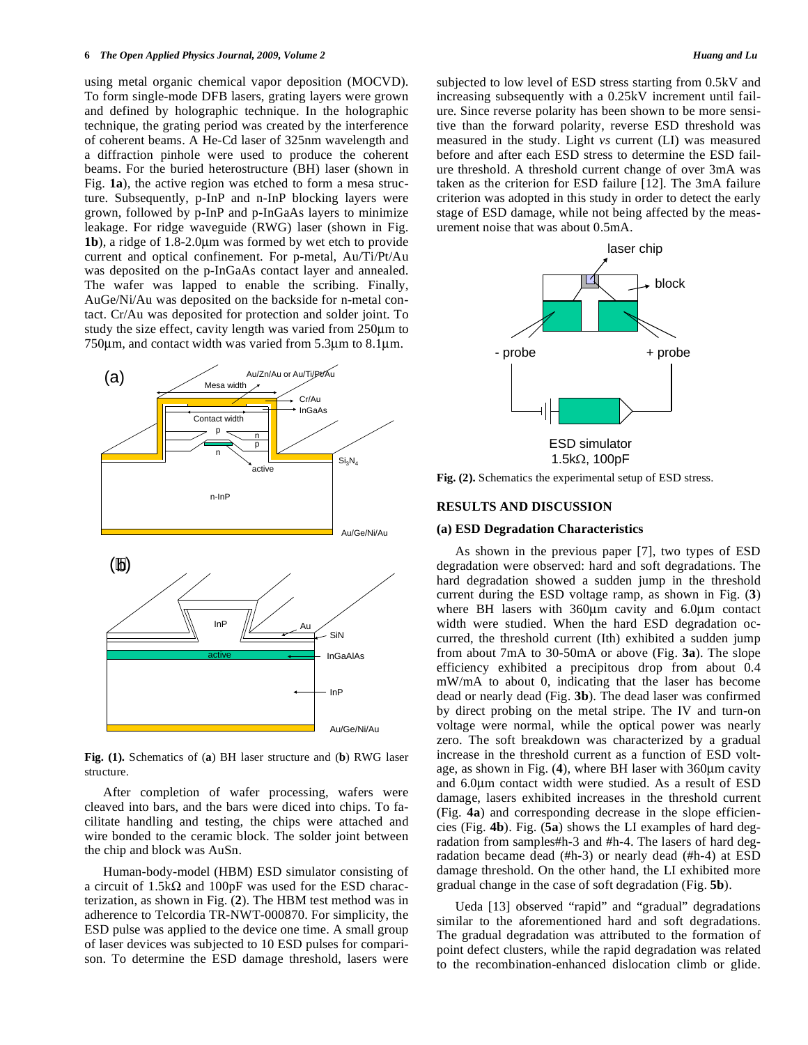using metal organic chemical vapor deposition (MOCVD). To form single-mode DFB lasers, grating layers were grown and defined by holographic technique. In the holographic technique, the grating period was created by the interference of coherent beams. A He-Cd laser of 325nm wavelength and a diffraction pinhole were used to produce the coherent beams. For the buried heterostructure (BH) laser (shown in Fig. **1a**), the active region was etched to form a mesa structure. Subsequently, p-InP and n-InP blocking layers were grown, followed by p-InP and p-InGaAs layers to minimize leakage. For ridge waveguide (RWG) laser (shown in Fig. **1b**), a ridge of 1.8-2.0μm was formed by wet etch to provide current and optical confinement. For p-metal, Au/Ti/Pt/Au was deposited on the p-InGaAs contact layer and annealed. The wafer was lapped to enable the scribing. Finally, AuGe/Ni/Au was deposited on the backside for n-metal contact. Cr/Au was deposited for protection and solder joint. To study the size effect, cavity length was varied from 250μm to 750μm, and contact width was varied from 5.3μm to 8.1μm.



**Fig. (1).** Schematics of (**a**) BH laser structure and (**b**) RWG laser structure.

 After completion of wafer processing, wafers were cleaved into bars, and the bars were diced into chips. To facilitate handling and testing, the chips were attached and wire bonded to the ceramic block. The solder joint between the chip and block was AuSn.

 Human-body-model (HBM) ESD simulator consisting of a circuit of 1.5k $\Omega$  and 100pF was used for the ESD characterization, as shown in Fig. (**2**). The HBM test method was in adherence to Telcordia TR-NWT-000870. For simplicity, the ESD pulse was applied to the device one time. A small group of laser devices was subjected to 10 ESD pulses for comparison. To determine the ESD damage threshold, lasers were

subjected to low level of ESD stress starting from 0.5kV and increasing subsequently with a 0.25kV increment until failure. Since reverse polarity has been shown to be more sensitive than the forward polarity, reverse ESD threshold was measured in the study. Light *vs* current (LI) was measured before and after each ESD stress to determine the ESD failure threshold. A threshold current change of over 3mA was taken as the criterion for ESD failure [12]. The 3mA failure criterion was adopted in this study in order to detect the early stage of ESD damage, while not being affected by the measurement noise that was about 0.5mA.



**Fig. (2).** Schematics the experimental setup of ESD stress.

#### **RESULTS AND DISCUSSION**

## **(a) ESD Degradation Characteristics**

 As shown in the previous paper [7], two types of ESD degradation were observed: hard and soft degradations. The hard degradation showed a sudden jump in the threshold current during the ESD voltage ramp, as shown in Fig. (**3**) where BH lasers with 360μm cavity and 6.0μm contact width were studied. When the hard ESD degradation occurred, the threshold current (Ith) exhibited a sudden jump from about 7mA to 30-50mA or above (Fig. **3a**). The slope efficiency exhibited a precipitous drop from about 0.4 mW/mA to about 0, indicating that the laser has become dead or nearly dead (Fig. **3b**). The dead laser was confirmed by direct probing on the metal stripe. The IV and turn-on voltage were normal, while the optical power was nearly zero. The soft breakdown was characterized by a gradual increase in the threshold current as a function of ESD voltage, as shown in Fig. (**4**), where BH laser with 360μm cavity and 6.0μm contact width were studied. As a result of ESD damage, lasers exhibited increases in the threshold current (Fig. **4a**) and corresponding decrease in the slope efficiencies (Fig. **4b**). Fig. (**5a**) shows the LI examples of hard degradation from samples#h-3 and #h-4. The lasers of hard degradation became dead (#h-3) or nearly dead (#h-4) at ESD damage threshold. On the other hand, the LI exhibited more gradual change in the case of soft degradation (Fig. **5b**).

 Ueda [13] observed "rapid" and "gradual" degradations similar to the aforementioned hard and soft degradations. The gradual degradation was attributed to the formation of point defect clusters, while the rapid degradation was related to the recombination-enhanced dislocation climb or glide.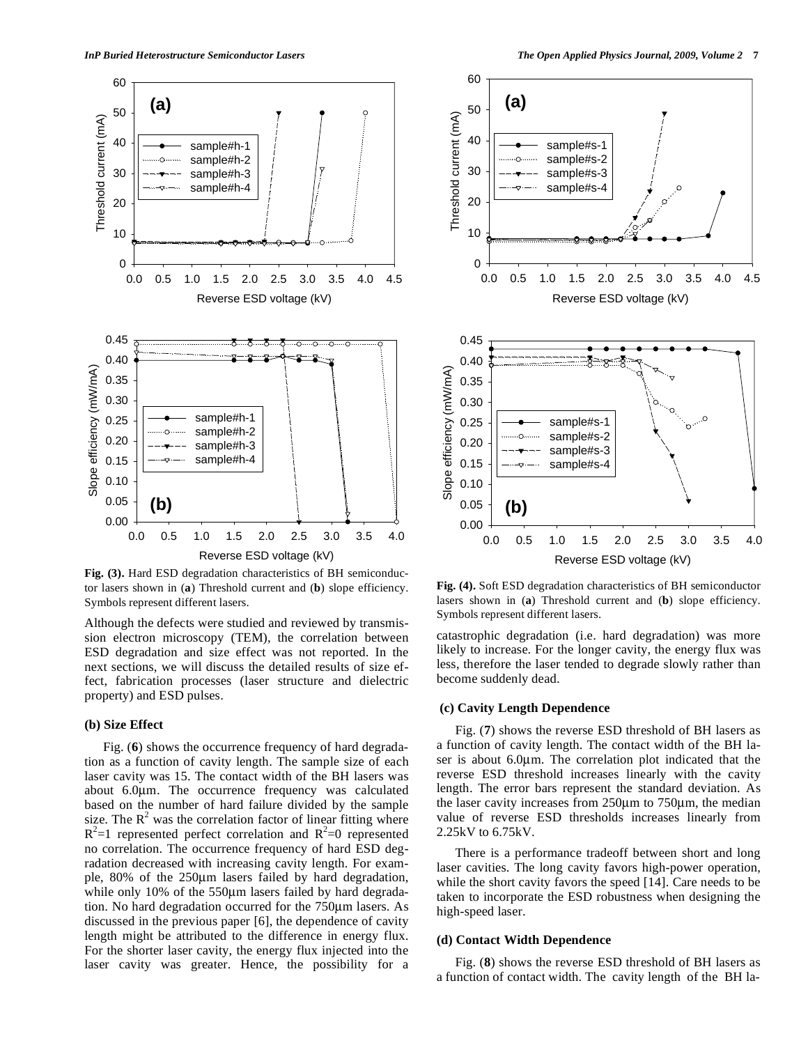

**Fig. (3).** Hard ESD degradation characteristics of BH semiconductor lasers shown in (**a**) Threshold current and (**b**) slope efficiency. Symbols represent different lasers.

Although the defects were studied and reviewed by transmission electron microscopy (TEM), the correlation between ESD degradation and size effect was not reported. In the next sections, we will discuss the detailed results of size effect, fabrication processes (laser structure and dielectric property) and ESD pulses.

# **(b) Size Effect**

 Fig. (**6**) shows the occurrence frequency of hard degradation as a function of cavity length. The sample size of each laser cavity was 15. The contact width of the BH lasers was about 6.0μm. The occurrence frequency was calculated based on the number of hard failure divided by the sample size. The  $R^2$  was the correlation factor of linear fitting where  $R^2$ =1 represented perfect correlation and  $R^2$ =0 represented no correlation. The occurrence frequency of hard ESD degradation decreased with increasing cavity length. For example, 80% of the 250μm lasers failed by hard degradation, while only 10% of the 550μm lasers failed by hard degradation. No hard degradation occurred for the 750μm lasers. As discussed in the previous paper [6], the dependence of cavity length might be attributed to the difference in energy flux. For the shorter laser cavity, the energy flux injected into the laser cavity was greater. Hence, the possibility for a



**Fig. (4).** Soft ESD degradation characteristics of BH semiconductor lasers shown in (**a**) Threshold current and (**b**) slope efficiency. Symbols represent different lasers.

catastrophic degradation (i.e. hard degradation) was more likely to increase. For the longer cavity, the energy flux was less, therefore the laser tended to degrade slowly rather than become suddenly dead.

# **(c) Cavity Length Dependence**

 Fig. (**7**) shows the reverse ESD threshold of BH lasers as a function of cavity length. The contact width of the BH laser is about 6.0μm. The correlation plot indicated that the reverse ESD threshold increases linearly with the cavity length. The error bars represent the standard deviation. As the laser cavity increases from 250μm to 750μm, the median value of reverse ESD thresholds increases linearly from 2.25kV to 6.75kV.

 There is a performance tradeoff between short and long laser cavities. The long cavity favors high-power operation, while the short cavity favors the speed [14]. Care needs to be taken to incorporate the ESD robustness when designing the high-speed laser.

## **(d) Contact Width Dependence**

 Fig. (**8**) shows the reverse ESD threshold of BH lasers as a function of contact width. The cavity length of the BH la-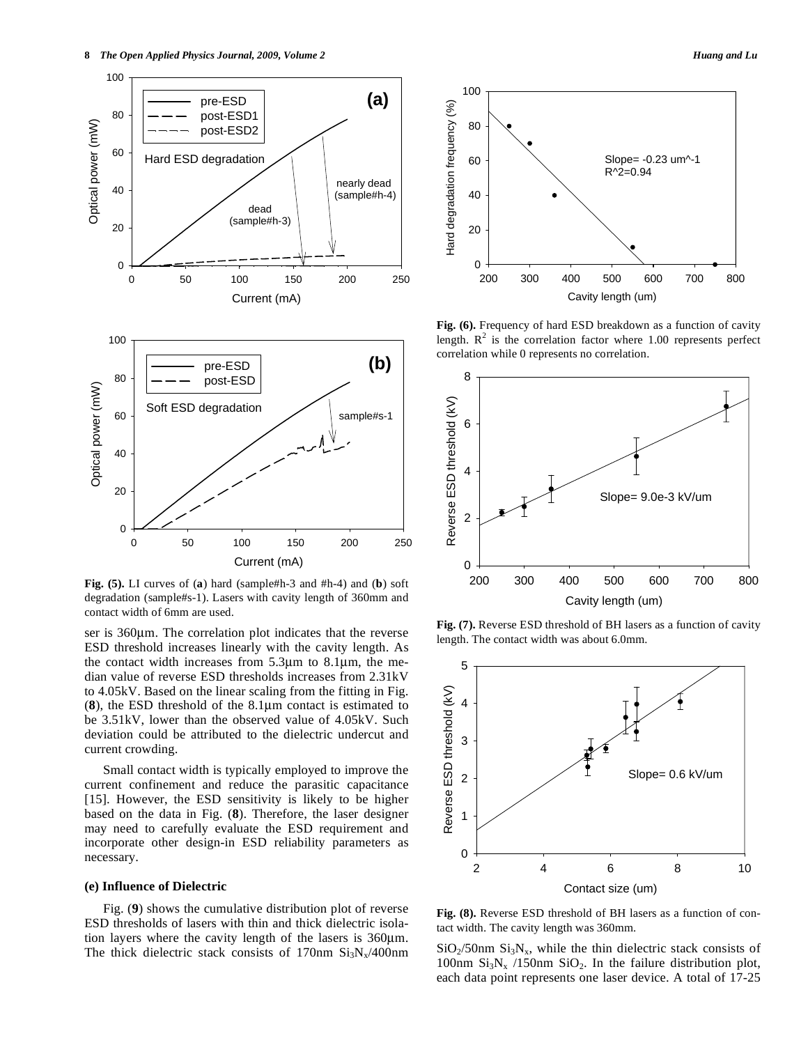

**Fig. (5).** LI curves of (**a**) hard (sample#h-3 and #h-4) and (**b**) soft degradation (sample#s-1). Lasers with cavity length of 360mm and contact width of 6mm are used.

ser is 360μm. The correlation plot indicates that the reverse ESD threshold increases linearly with the cavity length. As the contact width increases from 5.3μm to 8.1μm, the median value of reverse ESD thresholds increases from 2.31kV to 4.05kV. Based on the linear scaling from the fitting in Fig. (**8**), the ESD threshold of the 8.1μm contact is estimated to be 3.51kV, lower than the observed value of 4.05kV. Such deviation could be attributed to the dielectric undercut and current crowding.

 Small contact width is typically employed to improve the current confinement and reduce the parasitic capacitance [15]. However, the ESD sensitivity is likely to be higher based on the data in Fig. (**8**). Therefore, the laser designer may need to carefully evaluate the ESD requirement and incorporate other design-in ESD reliability parameters as necessary.

## **(e) Influence of Dielectric**

 Fig. (**9**) shows the cumulative distribution plot of reverse ESD thresholds of lasers with thin and thick dielectric isolation layers where the cavity length of the lasers is 360μm. The thick dielectric stack consists of 170nm  $Si<sub>3</sub>N<sub>x</sub>/400$ nm



**Fig. (6).** Frequency of hard ESD breakdown as a function of cavity length.  $R^2$  is the correlation factor where 1.00 represents perfect correlation while 0 represents no correlation.



**Fig. (7).** Reverse ESD threshold of BH lasers as a function of cavity length. The contact width was about 6.0mm.



**Fig. (8).** Reverse ESD threshold of BH lasers as a function of contact width. The cavity length was 360mm.

 $SiO<sub>2</sub>/50nm Si<sub>3</sub>N<sub>x</sub>$ , while the thin dielectric stack consists of 100nm  $Si_3N_x$  /150nm  $SiO_2$ . In the failure distribution plot, each data point represents one laser device. A total of 17-25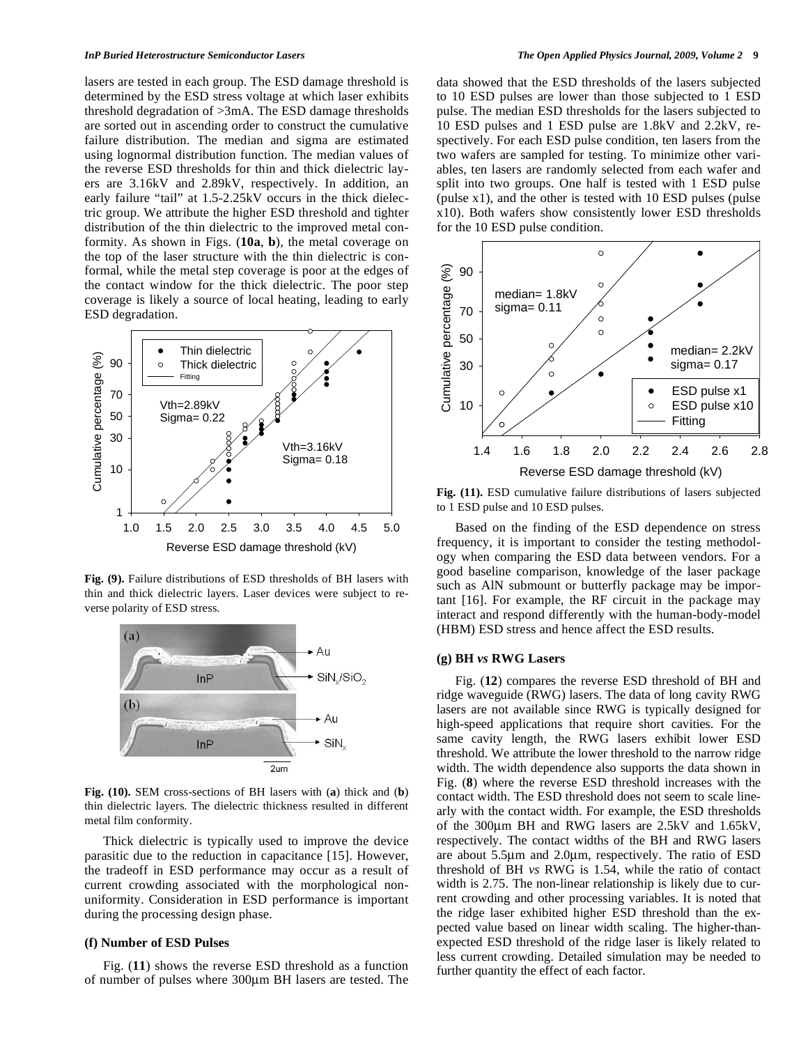lasers are tested in each group. The ESD damage threshold is determined by the ESD stress voltage at which laser exhibits threshold degradation of >3mA. The ESD damage thresholds are sorted out in ascending order to construct the cumulative failure distribution. The median and sigma are estimated using lognormal distribution function. The median values of the reverse ESD thresholds for thin and thick dielectric layers are 3.16kV and 2.89kV, respectively. In addition, an early failure "tail" at 1.5-2.25kV occurs in the thick dielectric group. We attribute the higher ESD threshold and tighter distribution of the thin dielectric to the improved metal conformity. As shown in Figs. (**10a**, **b**), the metal coverage on the top of the laser structure with the thin dielectric is conformal, while the metal step coverage is poor at the edges of the contact window for the thick dielectric. The poor step coverage is likely a source of local heating, leading to early ESD degradation.



**Fig. (9).** Failure distributions of ESD thresholds of BH lasers with thin and thick dielectric layers. Laser devices were subject to reverse polarity of ESD stress.



**Fig. (10).** SEM cross-sections of BH lasers with (**a**) thick and (**b**) thin dielectric layers. The dielectric thickness resulted in different metal film conformity.

 Thick dielectric is typically used to improve the device parasitic due to the reduction in capacitance [15]. However, the tradeoff in ESD performance may occur as a result of current crowding associated with the morphological nonuniformity. Consideration in ESD performance is important during the processing design phase.

#### **(f) Number of ESD Pulses**

 Fig. (**11**) shows the reverse ESD threshold as a function of number of pulses where 300μm BH lasers are tested. The data showed that the ESD thresholds of the lasers subjected to 10 ESD pulses are lower than those subjected to 1 ESD pulse. The median ESD thresholds for the lasers subjected to 10 ESD pulses and 1 ESD pulse are 1.8kV and 2.2kV, respectively. For each ESD pulse condition, ten lasers from the two wafers are sampled for testing. To minimize other variables, ten lasers are randomly selected from each wafer and split into two groups. One half is tested with 1 ESD pulse (pulse x1), and the other is tested with 10 ESD pulses (pulse x10). Both wafers show consistently lower ESD thresholds for the 10 ESD pulse condition.



**Fig. (11).** ESD cumulative failure distributions of lasers subjected to 1 ESD pulse and 10 ESD pulses.

 Based on the finding of the ESD dependence on stress frequency, it is important to consider the testing methodology when comparing the ESD data between vendors. For a good baseline comparison, knowledge of the laser package such as AlN submount or butterfly package may be important [16]. For example, the RF circuit in the package may interact and respond differently with the human-body-model (HBM) ESD stress and hence affect the ESD results.

## **(g) BH** *vs* **RWG Lasers**

 Fig. (**12**) compares the reverse ESD threshold of BH and ridge waveguide (RWG) lasers. The data of long cavity RWG lasers are not available since RWG is typically designed for high-speed applications that require short cavities. For the same cavity length, the RWG lasers exhibit lower ESD threshold. We attribute the lower threshold to the narrow ridge width. The width dependence also supports the data shown in Fig. (**8**) where the reverse ESD threshold increases with the contact width. The ESD threshold does not seem to scale linearly with the contact width. For example, the ESD thresholds of the 300μm BH and RWG lasers are 2.5kV and 1.65kV, respectively. The contact widths of the BH and RWG lasers are about 5.5μm and 2.0μm, respectively. The ratio of ESD threshold of BH *vs* RWG is 1.54, while the ratio of contact width is 2.75. The non-linear relationship is likely due to current crowding and other processing variables. It is noted that the ridge laser exhibited higher ESD threshold than the expected value based on linear width scaling. The higher-thanexpected ESD threshold of the ridge laser is likely related to less current crowding. Detailed simulation may be needed to further quantity the effect of each factor.